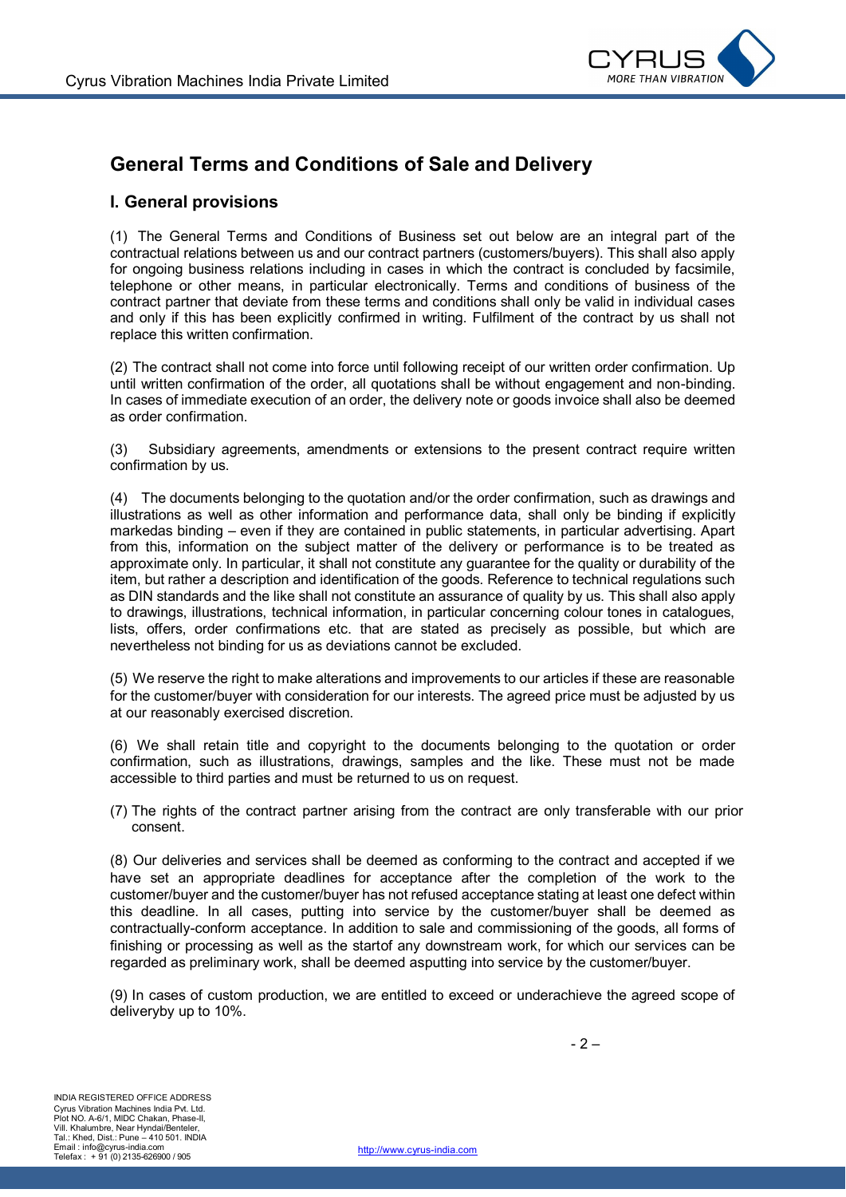

# **General Terms and Conditions of Sale and Delivery**

#### **I. General provisions**

(1) The General Terms and Conditions of Business set out below are an integral part of the contractual relations between us and our contract partners (customers/buyers). This shall also apply for ongoing business relations including in cases in which the contract is concluded by facsimile, telephone or other means, in particular electronically. Terms and conditions of business of the contract partner that deviate from these terms and conditions shall only be valid in individual cases and only if this has been explicitly confirmed in writing. Fulfilment of the contract by us shall not replace this written confirmation.

(2) The contract shall not come into force until following receipt of our written order confirmation. Up until written confirmation of the order, all quotations shall be without engagement and non-binding. In cases of immediate execution of an order, the delivery note or goods invoice shall also be deemed as order confirmation.

(3) Subsidiary agreements, amendments or extensions to the present contract require written confirmation by us.

(4) The documents belonging to the quotation and/or the order confirmation, such as drawings and illustrations as well as other information and performance data, shall only be binding if explicitly markedas binding – even if they are contained in public statements, in particular advertising. Apart from this, information on the subject matter of the delivery or performance is to be treated as approximate only. In particular, it shall not constitute any guarantee for the quality or durability of the item, but rather a description and identification of the goods. Reference to technical regulations such as DIN standards and the like shall not constitute an assurance of quality by us. This shall also apply to drawings, illustrations, technical information, in particular concerning colour tones in catalogues, lists, offers, order confirmations etc. that are stated as precisely as possible, but which are nevertheless not binding for us as deviations cannot be excluded.

(5) We reserve the right to make alterations and improvements to our articles if these are reasonable for the customer/buyer with consideration for our interests. The agreed price must be adjusted by us at our reasonably exercised discretion.

(6) We shall retain title and copyright to the documents belonging to the quotation or order confirmation, such as illustrations, drawings, samples and the like. These must not be made accessible to third parties and must be returned to us on request.

(7) The rights of the contract partner arising from the contract are only transferable with our prior consent.

(8) Our deliveries and services shall be deemed as conforming to the contract and accepted if we have set an appropriate deadlines for acceptance after the completion of the work to the customer/buyer and the customer/buyer has not refused acceptance stating at least one defect within this deadline. In all cases, putting into service by the customer/buyer shall be deemed as contractually-conform acceptance. In addition to sale and commissioning of the goods, all forms of finishing or processing as well as the startof any downstream work, for which our services can be regarded as preliminary work, shall be deemed asputting into service by the customer/buyer.

(9) In cases of custom production, we are entitled to exceed or underachieve the agreed scope of deliveryby up to 10%.

 $-2 -$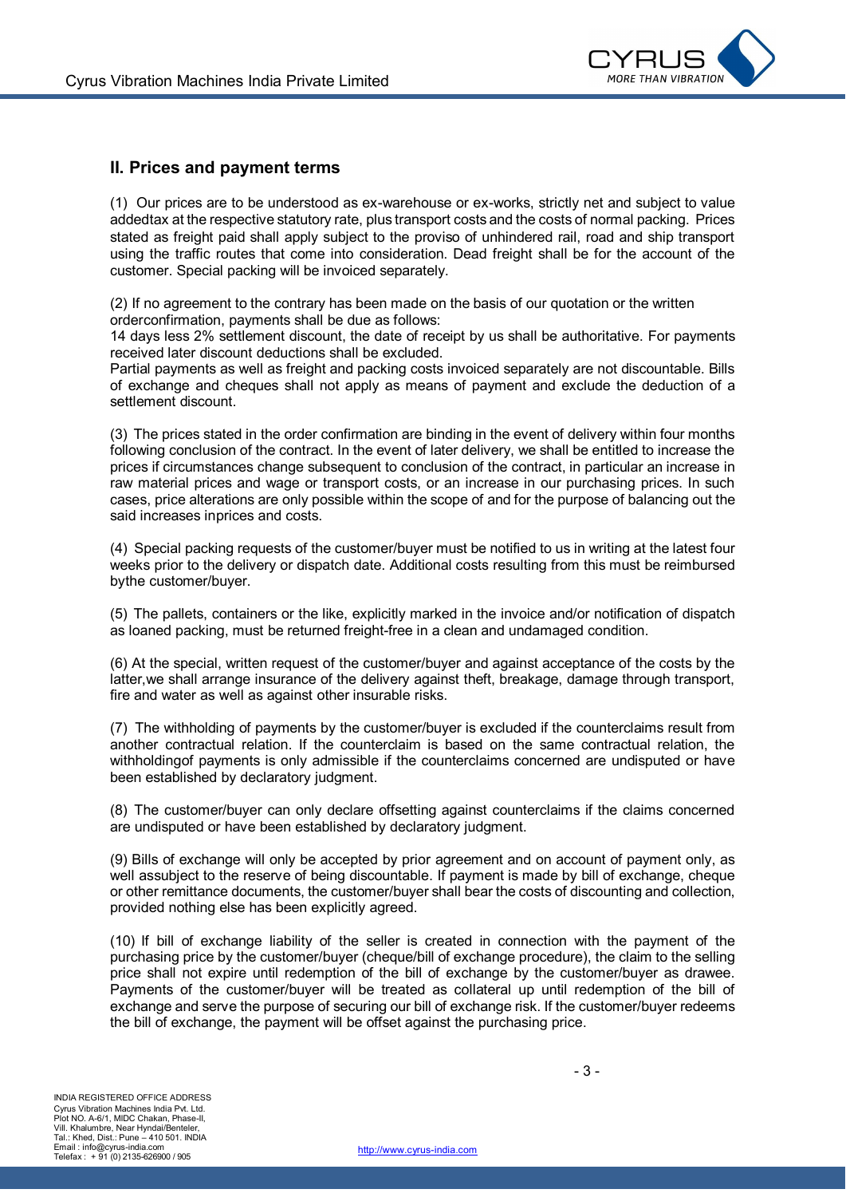

### **II. Prices and payment terms**

(1) Our prices are to be understood as ex-warehouse or ex-works, strictly net and subject to value addedtax at the respective statutory rate, plus transport costs and the costs of normal packing. Prices stated as freight paid shall apply subject to the proviso of unhindered rail, road and ship transport using the traffic routes that come into consideration. Dead freight shall be for the account of the customer. Special packing will be invoiced separately.

(2) If no agreement to the contrary has been made on the basis of our quotation or the written orderconfirmation, payments shall be due as follows:

14 days less 2% settlement discount, the date of receipt by us shall be authoritative. For payments received later discount deductions shall be excluded.

Partial payments as well as freight and packing costs invoiced separately are not discountable. Bills of exchange and cheques shall not apply as means of payment and exclude the deduction of a settlement discount.

(3) The prices stated in the order confirmation are binding in the event of delivery within four months following conclusion of the contract. In the event of later delivery, we shall be entitled to increase the prices if circumstances change subsequent to conclusion of the contract, in particular an increase in raw material prices and wage or transport costs, or an increase in our purchasing prices. In such cases, price alterations are only possible within the scope of and for the purpose of balancing out the said increases inprices and costs.

(4) Special packing requests of the customer/buyer must be notified to us in writing at the latest four weeks prior to the delivery or dispatch date. Additional costs resulting from this must be reimbursed bythe customer/buyer.

(5) The pallets, containers or the like, explicitly marked in the invoice and/or notification of dispatch as loaned packing, must be returned freight-free in a clean and undamaged condition.

(6) At the special, written request of the customer/buyer and against acceptance of the costs by the latter,we shall arrange insurance of the delivery against theft, breakage, damage through transport, fire and water as well as against other insurable risks.

(7) The withholding of payments by the customer/buyer is excluded if the counterclaims result from another contractual relation. If the counterclaim is based on the same contractual relation, the withholdingof payments is only admissible if the counterclaims concerned are undisputed or have been established by declaratory judgment.

(8) The customer/buyer can only declare offsetting against counterclaims if the claims concerned are undisputed or have been established by declaratory judgment.

(9) Bills of exchange will only be accepted by prior agreement and on account of payment only, as well assubject to the reserve of being discountable. If payment is made by bill of exchange, cheque or other remittance documents, the customer/buyer shall bear the costs of discounting and collection, provided nothing else has been explicitly agreed.

(10) If bill of exchange liability of the seller is created in connection with the payment of the purchasing price by the customer/buyer (cheque/bill of exchange procedure), the claim to the selling price shall not expire until redemption of the bill of exchange by the customer/buyer as drawee. Payments of the customer/buyer will be treated as collateral up until redemption of the bill of exchange and serve the purpose of securing our bill of exchange risk. If the customer/buyer redeems the bill of exchange, the payment will be offset against the purchasing price.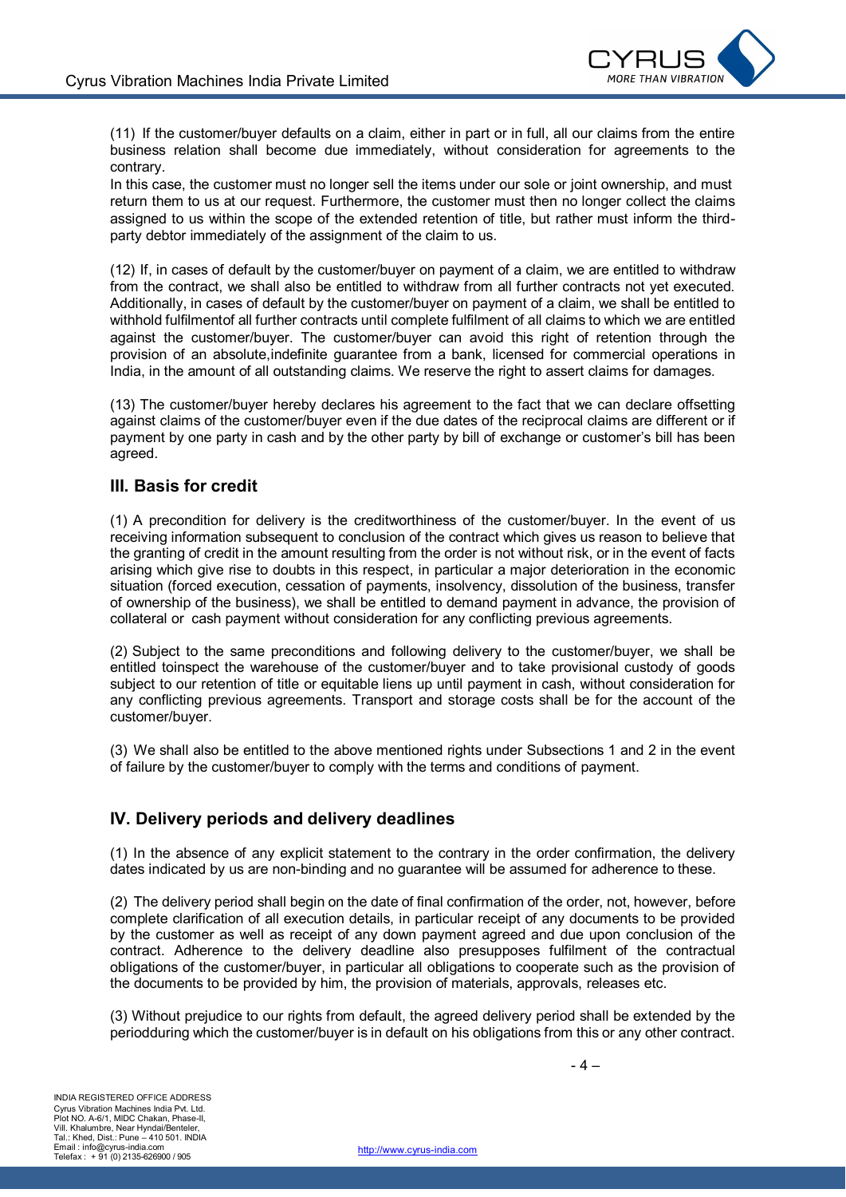

(11) If the customer/buyer defaults on a claim, either in part or in full, all our claims from the entire business relation shall become due immediately, without consideration for agreements to the contrary.

In this case, the customer must no longer sell the items under our sole or joint ownership, and must return them to us at our request. Furthermore, the customer must then no longer collect the claims assigned to us within the scope of the extended retention of title, but rather must inform the thirdparty debtor immediately of the assignment of the claim to us.

(12) If, in cases of default by the customer/buyer on payment of a claim, we are entitled to withdraw from the contract, we shall also be entitled to withdraw from all further contracts not yet executed. Additionally, in cases of default by the customer/buyer on payment of a claim, we shall be entitled to withhold fulfilmentof all further contracts until complete fulfilment of all claims to which we are entitled against the customer/buyer. The customer/buyer can avoid this right of retention through the provision of an absolute,indefinite guarantee from a bank, licensed for commercial operations in India, in the amount of all outstanding claims. We reserve the right to assert claims for damages.

(13) The customer/buyer hereby declares his agreement to the fact that we can declare offsetting against claims of the customer/buyer even if the due dates of the reciprocal claims are different or if payment by one party in cash and by the other party by bill of exchange or customer's bill has been agreed.

## **III. Basis for credit**

(1) A precondition for delivery is the creditworthiness of the customer/buyer. In the event of us receiving information subsequent to conclusion of the contract which gives us reason to believe that the granting of credit in the amount resulting from the order is not without risk, or in the event of facts arising which give rise to doubts in this respect, in particular a major deterioration in the economic situation (forced execution, cessation of payments, insolvency, dissolution of the business, transfer of ownership of the business), we shall be entitled to demand payment in advance, the provision of collateral or cash payment without consideration for any conflicting previous agreements.

(2) Subject to the same preconditions and following delivery to the customer/buyer, we shall be entitled toinspect the warehouse of the customer/buyer and to take provisional custody of goods subject to our retention of title or equitable liens up until payment in cash, without consideration for any conflicting previous agreements. Transport and storage costs shall be for the account of the customer/buyer.

(3) We shall also be entitled to the above mentioned rights under Subsections 1 and 2 in the event of failure by the customer/buyer to comply with the terms and conditions of payment.

## **IV. Delivery periods and delivery deadlines**

(1) In the absence of any explicit statement to the contrary in the order confirmation, the delivery dates indicated by us are non-binding and no guarantee will be assumed for adherence to these.

(2) The delivery period shall begin on the date of final confirmation of the order, not, however, before complete clarification of all execution details, in particular receipt of any documents to be provided by the customer as well as receipt of any down payment agreed and due upon conclusion of the contract. Adherence to the delivery deadline also presupposes fulfilment of the contractual obligations of the customer/buyer, in particular all obligations to cooperate such as the provision of the documents to be provided by him, the provision of materials, approvals, releases etc.

(3) Without prejudice to our rights from default, the agreed delivery period shall be extended by the periodduring which the customer/buyer is in default on his obligations from this or any other contract.

- 4 –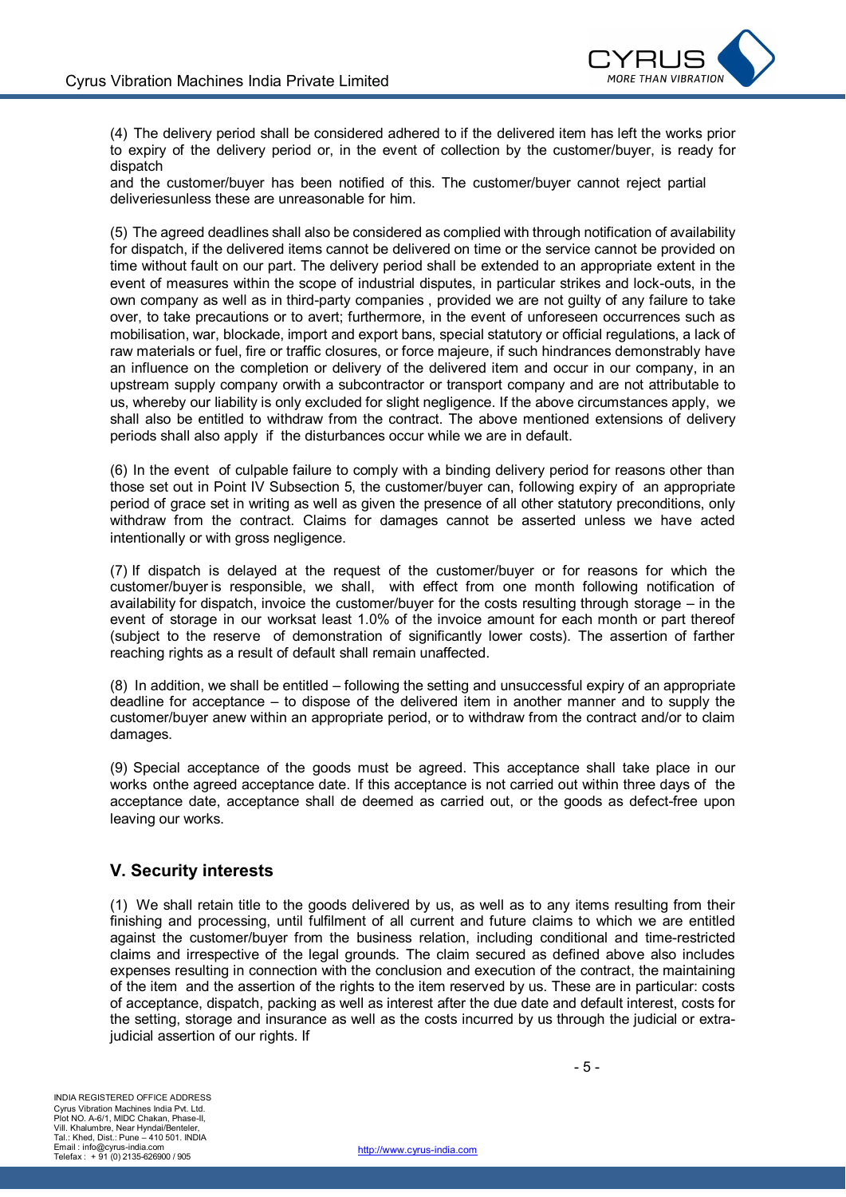

(4) The delivery period shall be considered adhered to if the delivered item has left the works prior to expiry of the delivery period or, in the event of collection by the customer/buyer, is ready for dispatch

and the customer/buyer has been notified of this. The customer/buyer cannot reject partial deliveriesunless these are unreasonable for him.

(5) The agreed deadlines shall also be considered as complied with through notification of availability for dispatch, if the delivered items cannot be delivered on time or the service cannot be provided on time without fault on our part. The delivery period shall be extended to an appropriate extent in the event of measures within the scope of industrial disputes, in particular strikes and lock-outs, in the own company as well as in third-party companies , provided we are not guilty of any failure to take over, to take precautions or to avert; furthermore, in the event of unforeseen occurrences such as mobilisation, war, blockade, import and export bans, special statutory or official regulations, a lack of raw materials or fuel, fire or traffic closures, or force majeure, if such hindrances demonstrably have an influence on the completion or delivery of the delivered item and occur in our company, in an upstream supply company orwith a subcontractor or transport company and are not attributable to us, whereby our liability is only excluded for slight negligence. If the above circumstances apply, we shall also be entitled to withdraw from the contract. The above mentioned extensions of delivery periods shall also apply if the disturbances occur while we are in default.

(6) In the event of culpable failure to comply with a binding delivery period for reasons other than those set out in Point IV Subsection 5, the customer/buyer can, following expiry of an appropriate period of grace set in writing as well as given the presence of all other statutory preconditions, only withdraw from the contract. Claims for damages cannot be asserted unless we have acted intentionally or with gross negligence.

(7) If dispatch is delayed at the request of the customer/buyer or for reasons for which the customer/buyer is responsible, we shall, with effect from one month following notification of availability for dispatch, invoice the customer/buyer for the costs resulting through storage – in the event of storage in our worksat least 1.0% of the invoice amount for each month or part thereof (subject to the reserve of demonstration of significantly lower costs). The assertion of farther reaching rights as a result of default shall remain unaffected.

(8) In addition, we shall be entitled – following the setting and unsuccessful expiry of an appropriate deadline for acceptance – to dispose of the delivered item in another manner and to supply the customer/buyer anew within an appropriate period, or to withdraw from the contract and/or to claim damages.

(9) Special acceptance of the goods must be agreed. This acceptance shall take place in our works onthe agreed acceptance date. If this acceptance is not carried out within three days of the acceptance date, acceptance shall de deemed as carried out, or the goods as defect-free upon leaving our works.

## **V. Security interests**

(1) We shall retain title to the goods delivered by us, as well as to any items resulting from their finishing and processing, until fulfilment of all current and future claims to which we are entitled against the customer/buyer from the business relation, including conditional and time-restricted claims and irrespective of the legal grounds. The claim secured as defined above also includes expenses resulting in connection with the conclusion and execution of the contract, the maintaining of the item and the assertion of the rights to the item reserved by us. These are in particular: costs of acceptance, dispatch, packing as well as interest after the due date and default interest, costs for the setting, storage and insurance as well as the costs incurred by us through the judicial or extrajudicial assertion of our rights. If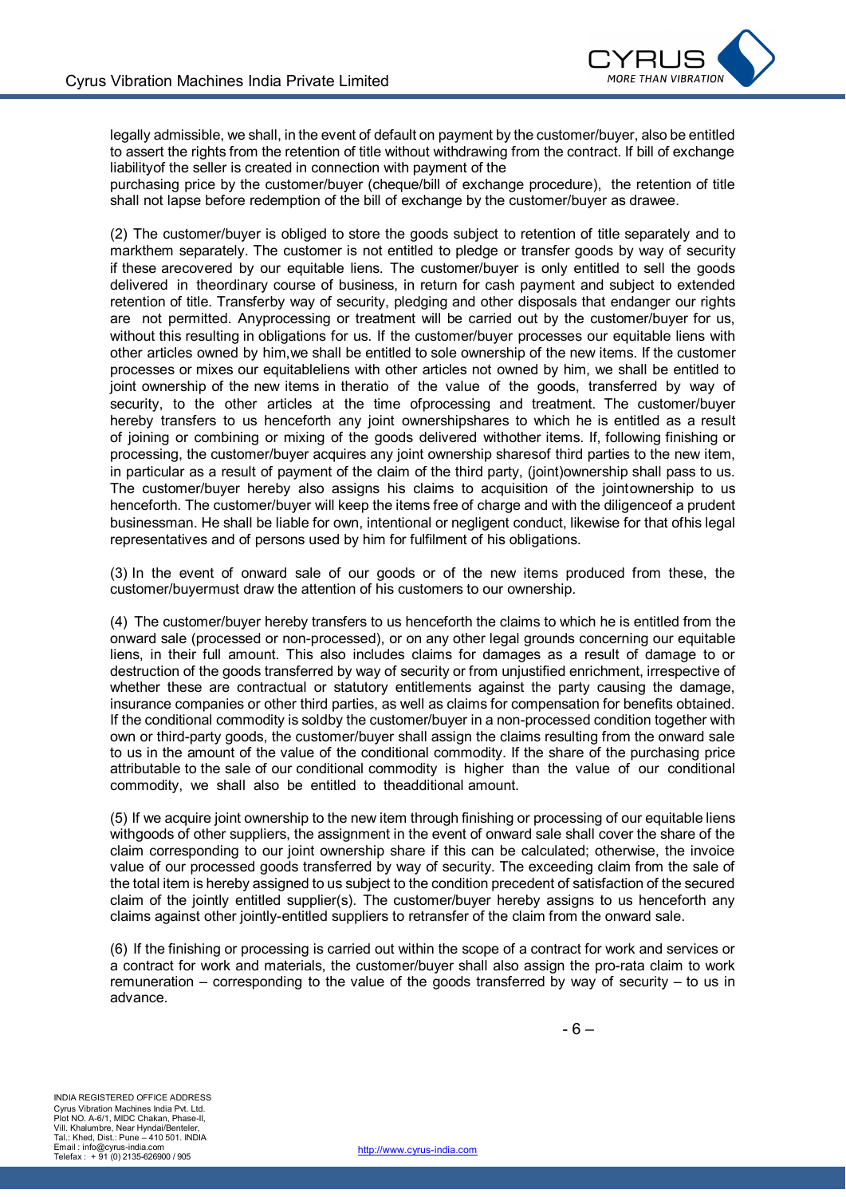

legally admissible, we shall, in the event of default on payment by the customer/buyer, also be entitled to assert the rights from the retention of title without withdrawing from the contract. If bill of exchange liabilityof the seller is created in connection with payment of the

purchasing price by the customer/buyer (cheque/bill of exchange procedure), the retention of title shall not lapse before redemption of the bill of exchange by the customer/buyer as drawee.

(2) The customer/buyer is obliged to store the goods subject to retention of title separately and to markthem separately. The customer is not entitled to pledge or transfer goods by way of security if these arecovered by our equitable liens. The customer/buyer is only entitled to sell the goods delivered in theordinary course of business, in return for cash payment and subject to extended retention of title. Transferby way of security, pledging and other disposals that endanger our rights are not permitted. Anyprocessing or treatment will be carried out by the customer/buyer for us, without this resulting in obligations for us. If the customer/buyer processes our equitable liens with other articles owned by him,we shall be entitled to sole ownership of the new items. If the customer processes or mixes our equitableliens with other articles not owned by him, we shall be entitled to joint ownership of the new items in theratio of the value of the goods, transferred by way of security, to the other articles at the time ofprocessing and treatment. The customer/buyer hereby transfers to us henceforth any joint ownershipshares to which he is entitled as a result of joining or combining or mixing of the goods delivered withother items. If, following finishing or processing, the customer/buyer acquires any joint ownership sharesof third parties to the new item, in particular as a result of payment of the claim of the third party, (joint)ownership shall pass to us. The customer/buyer hereby also assigns his claims to acquisition of the jointownership to us henceforth. The customer/buyer will keep the items free of charge and with the diligenceof a prudent businessman. He shall be liable for own, intentional or negligent conduct, likewise for that ofhis legal representatives and of persons used by him for fulfilment of his obligations.

(3) In the event of onward sale of our goods or of the new items produced from these, the customer/buyermust draw the attention of his customers to our ownership.

(4) The customer/buyer hereby transfers to us henceforth the claims to which he is entitled from the onward sale (processed or non-processed), or on any other legal grounds concerning our equitable liens, in their full amount. This also includes claims for damages as a result of damage to or destruction of the goods transferred by way of security or from unjustified enrichment, irrespective of whether these are contractual or statutory entitlements against the party causing the damage, insurance companies or other third parties, as well as claims for compensation for benefits obtained. If the conditional commodity is soldby the customer/buyer in a non-processed condition together with own or third-party goods, the customer/buyer shall assign the claims resulting from the onward sale to us in the amount of the value of the conditional commodity. If the share of the purchasing price attributable to the sale of our conditional commodity is higher than the value of our conditional commodity, we shall also be entitled to theadditional amount.

(5) If we acquire joint ownership to the new item through finishing or processing of our equitable liens withgoods of other suppliers, the assignment in the event of onward sale shall cover the share of the claim corresponding to our joint ownership share if this can be calculated; otherwise, the invoice value of our processed goods transferred by way of security. The exceeding claim from the sale of the total item is hereby assigned to us subject to the condition precedent of satisfaction of the secured claim of the jointly entitled supplier(s). The customer/buyer hereby assigns to us henceforth any claims against other jointly-entitled suppliers to retransfer of the claim from the onward sale.

(6) If the finishing or processing is carried out within the scope of a contract for work and services or a contract for work and materials, the customer/buyer shall also assign the pro-rata claim to work remuneration – corresponding to the value of the goods transferred by way of security – to us in advance.

- 6 –

INDIA REGISTERED OFFICE ADDRESS Cyrus Vibration Machines India Pvt. Ltd. Plot NO. A-6/1, MIDC Chakan, Phase-II, Vill. Khalumbre, Near Hyndai/Benteler, Tal.: Khed, Dist.: Pune – 410 501. INDIA Email : info@cyrus-india.com Telefax : + 91 (0) 2135-626900 / 905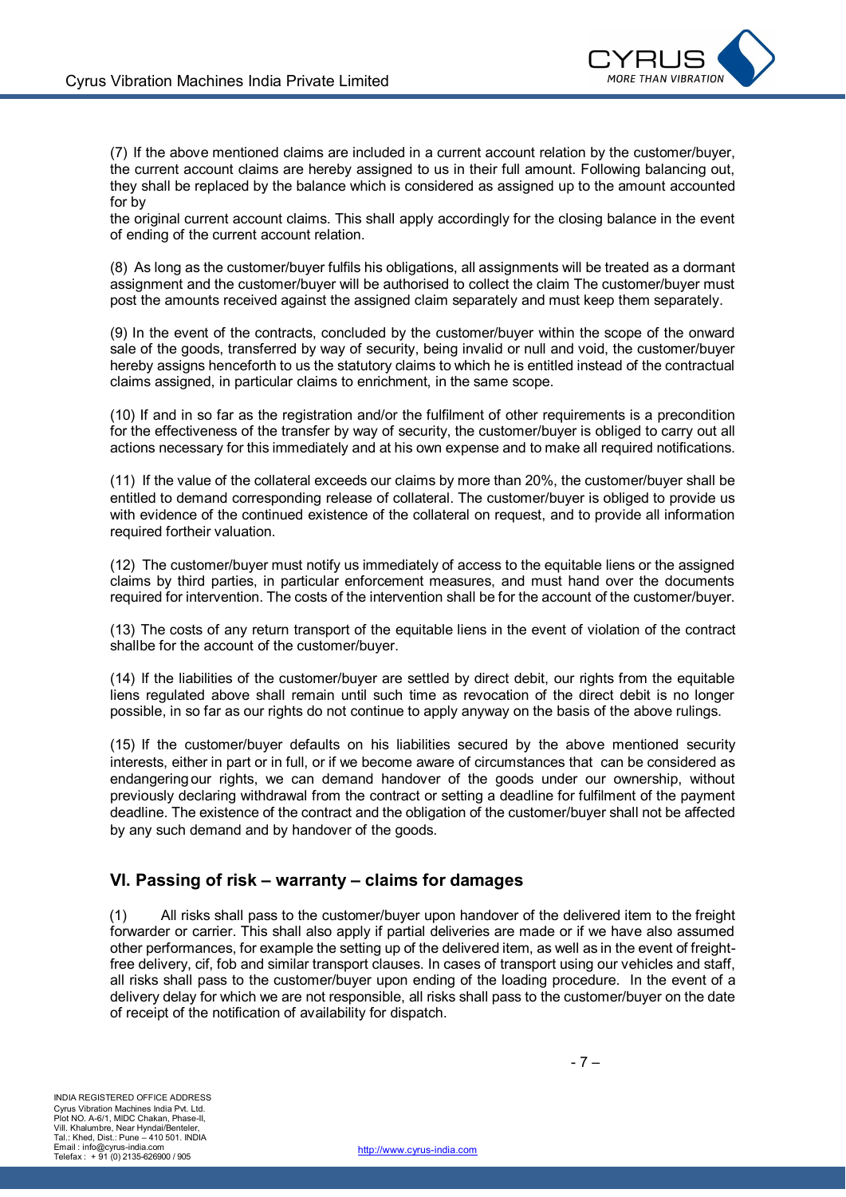

(7) If the above mentioned claims are included in a current account relation by the customer/buyer, the current account claims are hereby assigned to us in their full amount. Following balancing out, they shall be replaced by the balance which is considered as assigned up to the amount accounted for by

the original current account claims. This shall apply accordingly for the closing balance in the event of ending of the current account relation.

(8) As long as the customer/buyer fulfils his obligations, all assignments will be treated as a dormant assignment and the customer/buyer will be authorised to collect the claim The customer/buyer must post the amounts received against the assigned claim separately and must keep them separately.

(9) In the event of the contracts, concluded by the customer/buyer within the scope of the onward sale of the goods, transferred by way of security, being invalid or null and void, the customer/buyer hereby assigns henceforth to us the statutory claims to which he is entitled instead of the contractual claims assigned, in particular claims to enrichment, in the same scope.

(10) If and in so far as the registration and/or the fulfilment of other requirements is a precondition for the effectiveness of the transfer by way of security, the customer/buyer is obliged to carry out all actions necessary for this immediately and at his own expense and to make all required notifications.

(11) If the value of the collateral exceeds our claims by more than 20%, the customer/buyer shall be entitled to demand corresponding release of collateral. The customer/buyer is obliged to provide us with evidence of the continued existence of the collateral on request, and to provide all information required fortheir valuation.

(12) The customer/buyer must notify us immediately of access to the equitable liens or the assigned claims by third parties, in particular enforcement measures, and must hand over the documents required for intervention. The costs of the intervention shall be for the account of the customer/buyer.

(13) The costs of any return transport of the equitable liens in the event of violation of the contract shallbe for the account of the customer/buyer.

(14) If the liabilities of the customer/buyer are settled by direct debit, our rights from the equitable liens regulated above shall remain until such time as revocation of the direct debit is no longer possible, in so far as our rights do not continue to apply anyway on the basis of the above rulings.

(15) If the customer/buyer defaults on his liabilities secured by the above mentioned security interests, either in part or in full, or if we become aware of circumstances that can be considered as endangeringour rights, we can demand handover of the goods under our ownership, without previously declaring withdrawal from the contract or setting a deadline for fulfilment of the payment deadline. The existence of the contract and the obligation of the customer/buyer shall not be affected by any such demand and by handover of the goods.

#### **VI. Passing of risk – warranty – claims for damages**

(1) All risks shall pass to the customer/buyer upon handover of the delivered item to the freight forwarder or carrier. This shall also apply if partial deliveries are made or if we have also assumed other performances, for example the setting up of the delivered item, as well as in the event of freightfree delivery, cif, fob and similar transport clauses. In cases of transport using our vehicles and staff, all risks shall pass to the customer/buyer upon ending of the loading procedure. In the event of a delivery delay for which we are not responsible, all risks shall pass to the customer/buyer on the date of receipt of the notification of availability for dispatch.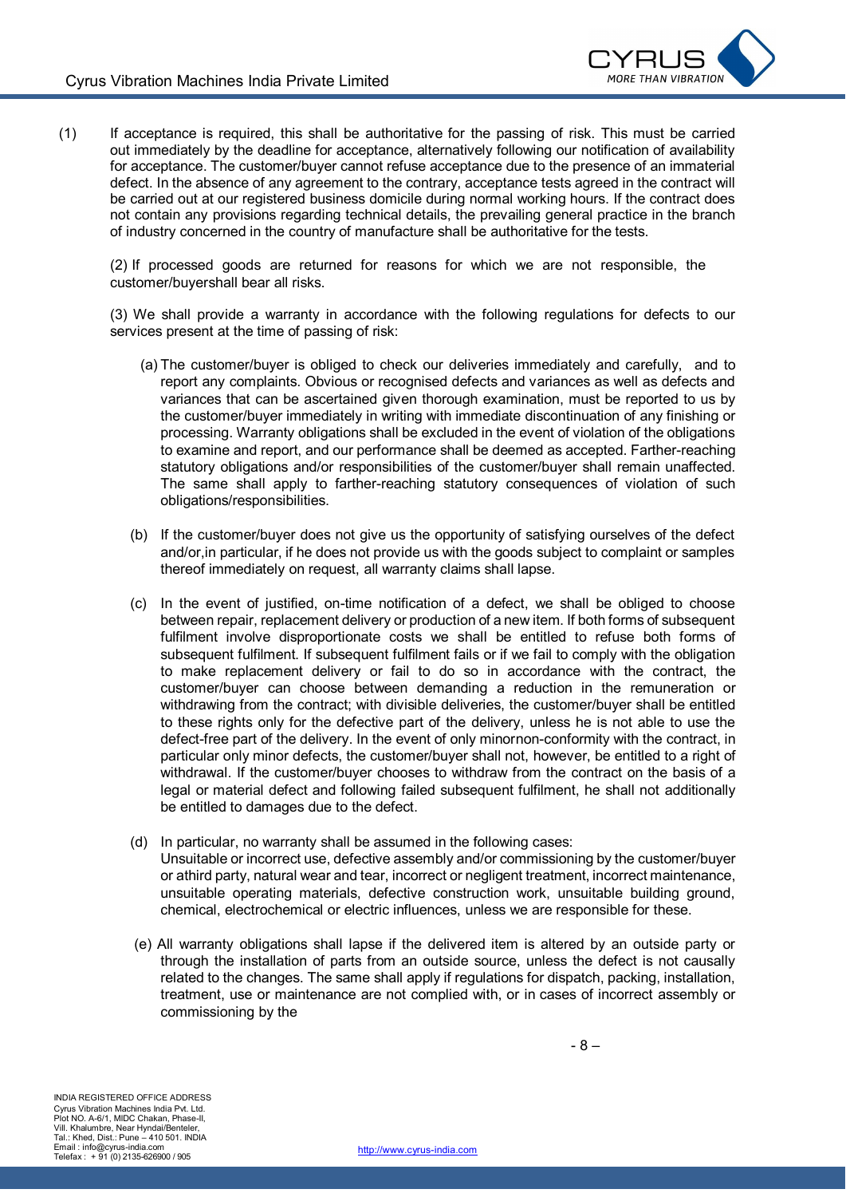

(1) If acceptance is required, this shall be authoritative for the passing of risk. This must be carried out immediately by the deadline for acceptance, alternatively following our notification of availability for acceptance. The customer/buyer cannot refuse acceptance due to the presence of an immaterial defect. In the absence of any agreement to the contrary, acceptance tests agreed in the contract will be carried out at our registered business domicile during normal working hours. If the contract does not contain any provisions regarding technical details, the prevailing general practice in the branch of industry concerned in the country of manufacture shall be authoritative for the tests.

(2) If processed goods are returned for reasons for which we are not responsible, the customer/buyershall bear all risks.

(3) We shall provide a warranty in accordance with the following regulations for defects to our services present at the time of passing of risk:

- (a) The customer/buyer is obliged to check our deliveries immediately and carefully, and to report any complaints. Obvious or recognised defects and variances as well as defects and variances that can be ascertained given thorough examination, must be reported to us by the customer/buyer immediately in writing with immediate discontinuation of any finishing or processing. Warranty obligations shall be excluded in the event of violation of the obligations to examine and report, and our performance shall be deemed as accepted. Farther-reaching statutory obligations and/or responsibilities of the customer/buyer shall remain unaffected. The same shall apply to farther-reaching statutory consequences of violation of such obligations/responsibilities.
- (b) If the customer/buyer does not give us the opportunity of satisfying ourselves of the defect and/or,in particular, if he does not provide us with the goods subject to complaint or samples thereof immediately on request, all warranty claims shall lapse.
- (c) In the event of justified, on-time notification of a defect, we shall be obliged to choose between repair, replacement delivery or production of a new item. If both forms of subsequent fulfilment involve disproportionate costs we shall be entitled to refuse both forms of subsequent fulfilment. If subsequent fulfilment fails or if we fail to comply with the obligation to make replacement delivery or fail to do so in accordance with the contract, the customer/buyer can choose between demanding a reduction in the remuneration or withdrawing from the contract; with divisible deliveries, the customer/buyer shall be entitled to these rights only for the defective part of the delivery, unless he is not able to use the defect-free part of the delivery. In the event of only minornon-conformity with the contract, in particular only minor defects, the customer/buyer shall not, however, be entitled to a right of withdrawal. If the customer/buyer chooses to withdraw from the contract on the basis of a legal or material defect and following failed subsequent fulfilment, he shall not additionally be entitled to damages due to the defect.
- (d) In particular, no warranty shall be assumed in the following cases: Unsuitable or incorrect use, defective assembly and/or commissioning by the customer/buyer or athird party, natural wear and tear, incorrect or negligent treatment, incorrect maintenance, unsuitable operating materials, defective construction work, unsuitable building ground, chemical, electrochemical or electric influences, unless we are responsible for these.
- (e) All warranty obligations shall lapse if the delivered item is altered by an outside party or through the installation of parts from an outside source, unless the defect is not causally related to the changes. The same shall apply if regulations for dispatch, packing, installation, treatment, use or maintenance are not complied with, or in cases of incorrect assembly or commissioning by the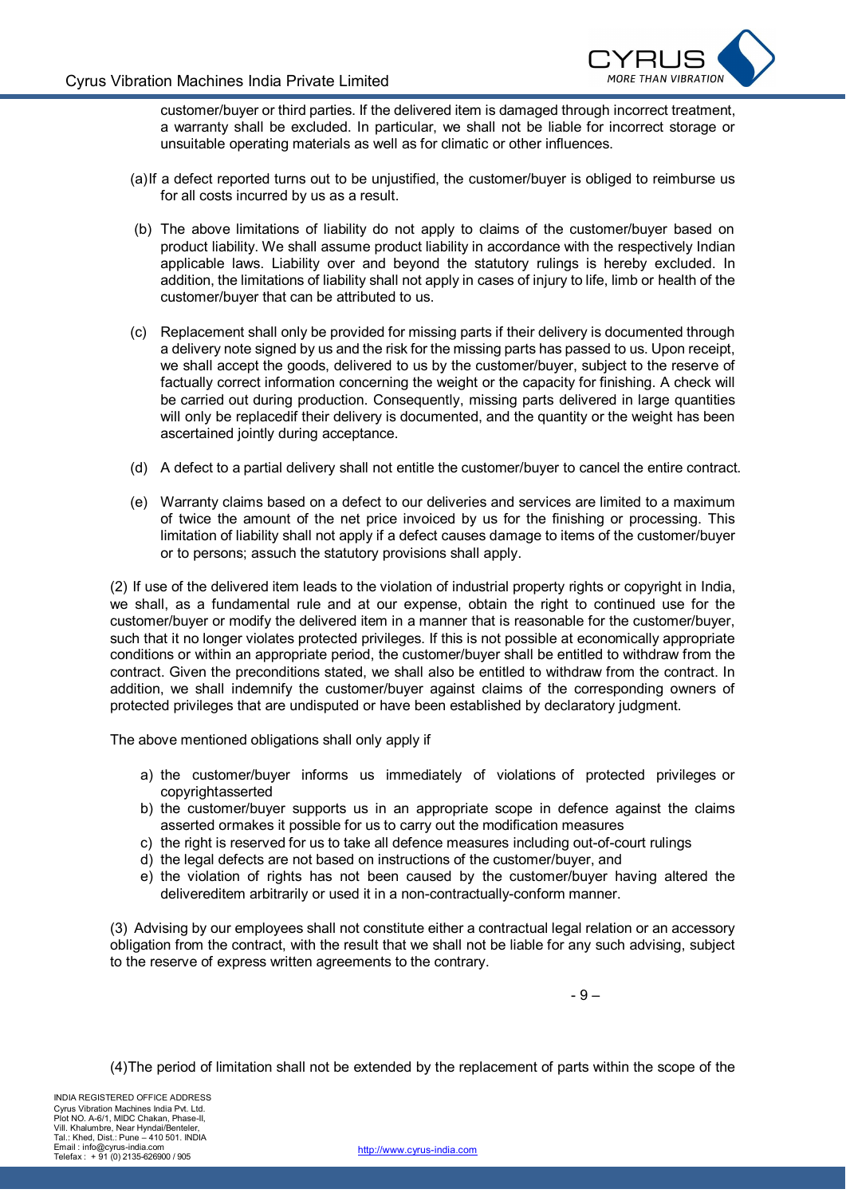

customer/buyer or third parties. If the delivered item is damaged through incorrect treatment, a warranty shall be excluded. In particular, we shall not be liable for incorrect storage or unsuitable operating materials as well as for climatic or other influences.

- (a)If a defect reported turns out to be unjustified, the customer/buyer is obliged to reimburse us for all costs incurred by us as a result.
- (b) The above limitations of liability do not apply to claims of the customer/buyer based on product liability. We shall assume product liability in accordance with the respectively Indian applicable laws. Liability over and beyond the statutory rulings is hereby excluded. In addition, the limitations of liability shall not apply in cases of injury to life, limb or health of the customer/buyer that can be attributed to us.
- (c) Replacement shall only be provided for missing parts if their delivery is documented through a delivery note signed by us and the risk for the missing parts has passed to us. Upon receipt, we shall accept the goods, delivered to us by the customer/buyer, subject to the reserve of factually correct information concerning the weight or the capacity for finishing. A check will be carried out during production. Consequently, missing parts delivered in large quantities will only be replacedif their delivery is documented, and the quantity or the weight has been ascertained jointly during acceptance.
- (d) A defect to a partial delivery shall not entitle the customer/buyer to cancel the entire contract.
- (e) Warranty claims based on a defect to our deliveries and services are limited to a maximum of twice the amount of the net price invoiced by us for the finishing or processing. This limitation of liability shall not apply if a defect causes damage to items of the customer/buyer or to persons; assuch the statutory provisions shall apply.

(2) If use of the delivered item leads to the violation of industrial property rights or copyright in India, we shall, as a fundamental rule and at our expense, obtain the right to continued use for the customer/buyer or modify the delivered item in a manner that is reasonable for the customer/buyer, such that it no longer violates protected privileges. If this is not possible at economically appropriate conditions or within an appropriate period, the customer/buyer shall be entitled to withdraw from the contract. Given the preconditions stated, we shall also be entitled to withdraw from the contract. In addition, we shall indemnify the customer/buyer against claims of the corresponding owners of protected privileges that are undisputed or have been established by declaratory judgment.

The above mentioned obligations shall only apply if

- a) the customer/buyer informs us immediately of violations of protected privileges or copyrightasserted
- b) the customer/buyer supports us in an appropriate scope in defence against the claims asserted ormakes it possible for us to carry out the modification measures
- c) the right is reserved for us to take all defence measures including out-of-court rulings
- d) the legal defects are not based on instructions of the customer/buyer, and
- e) the violation of rights has not been caused by the customer/buyer having altered the delivereditem arbitrarily or used it in a non-contractually-conform manner.

(3) Advising by our employees shall not constitute either a contractual legal relation or an accessory obligation from the contract, with the result that we shall not be liable for any such advising, subject to the reserve of express written agreements to the contrary.

 $-9 -$ 

(4)The period of limitation shall not be extended by the replacement of parts within the scope of the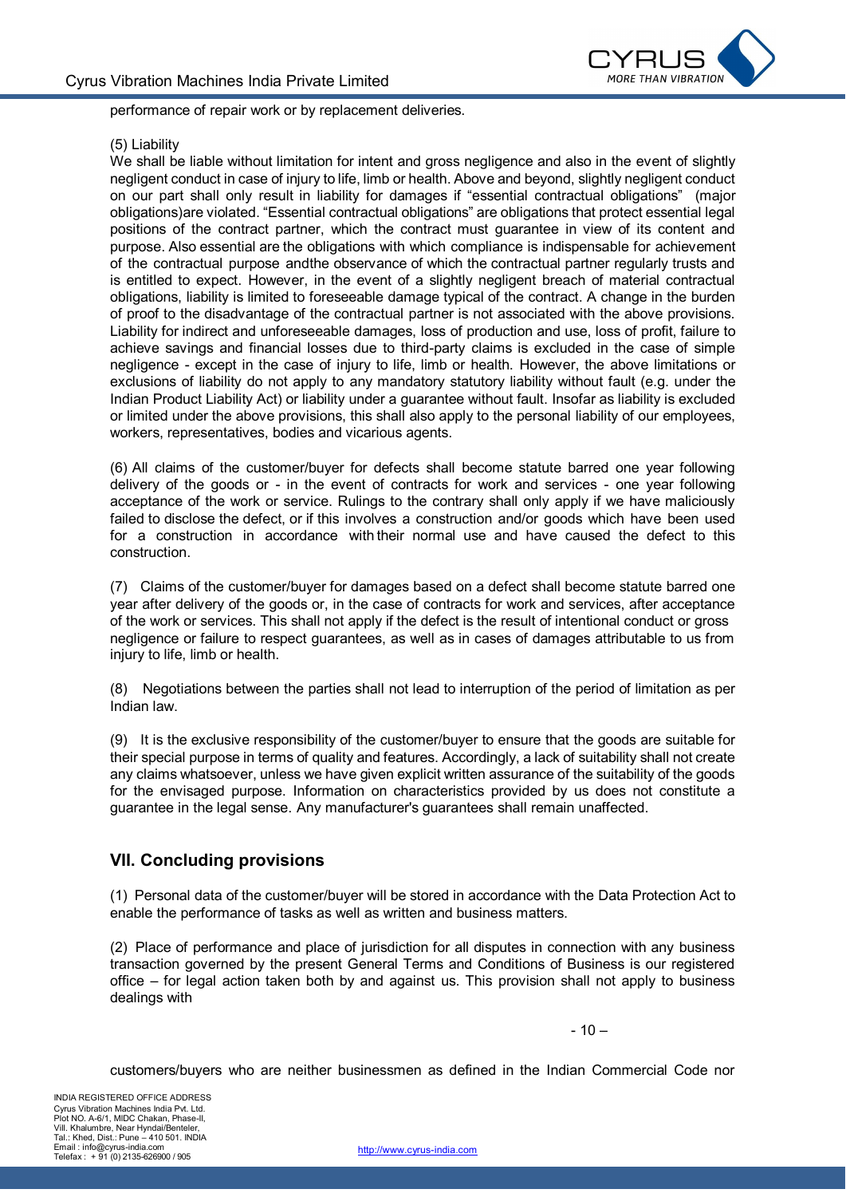

performance of repair work or by replacement deliveries.

#### (5) Liability

We shall be liable without limitation for intent and gross negligence and also in the event of slightly negligent conduct in case of injury to life, limb or health. Above and beyond, slightly negligent conduct on our part shall only result in liability for damages if "essential contractual obligations" (major obligations)are violated. "Essential contractual obligations" are obligations that protect essential legal positions of the contract partner, which the contract must guarantee in view of its content and purpose. Also essential are the obligations with which compliance is indispensable for achievement of the contractual purpose andthe observance of which the contractual partner regularly trusts and is entitled to expect. However, in the event of a slightly negligent breach of material contractual obligations, liability is limited to foreseeable damage typical of the contract. A change in the burden of proof to the disadvantage of the contractual partner is not associated with the above provisions. Liability for indirect and unforeseeable damages, loss of production and use, loss of profit, failure to achieve savings and financial losses due to third-party claims is excluded in the case of simple negligence - except in the case of injury to life, limb or health. However, the above limitations or exclusions of liability do not apply to any mandatory statutory liability without fault (e.g. under the Indian Product Liability Act) or liability under a guarantee without fault. Insofar as liability is excluded or limited under the above provisions, this shall also apply to the personal liability of our employees, workers, representatives, bodies and vicarious agents.

(6) All claims of the customer/buyer for defects shall become statute barred one year following delivery of the goods or - in the event of contracts for work and services - one year following acceptance of the work or service. Rulings to the contrary shall only apply if we have maliciously failed to disclose the defect, or if this involves a construction and/or goods which have been used for a construction in accordance with their normal use and have caused the defect to this construction.

(7) Claims of the customer/buyer for damages based on a defect shall become statute barred one year after delivery of the goods or, in the case of contracts for work and services, after acceptance of the work or services. This shall not apply if the defect is the result of intentional conduct or gross negligence or failure to respect guarantees, as well as in cases of damages attributable to us from injury to life, limb or health.

(8) Negotiations between the parties shall not lead to interruption of the period of limitation as per Indian law.

(9) It is the exclusive responsibility of the customer/buyer to ensure that the goods are suitable for their special purpose in terms of quality and features. Accordingly, a lack of suitability shall not create any claims whatsoever, unless we have given explicit written assurance of the suitability of the goods for the envisaged purpose. Information on characteristics provided by us does not constitute a guarantee in the legal sense. Any manufacturer's guarantees shall remain unaffected.

#### **VII. Concluding provisions**

(1) Personal data of the customer/buyer will be stored in accordance with the Data Protection Act to enable the performance of tasks as well as written and business matters.

(2) Place of performance and place of jurisdiction for all disputes in connection with any business transaction governed by the present General Terms and Conditions of Business is our registered office – for legal action taken both by and against us. This provision shall not apply to business dealings with

 $-10-$ 

customers/buyers who are neither businessmen as defined in the Indian Commercial Code nor

INDIA REGISTERED OFFICE ADDRESS Cyrus Vibration Machines India Pvt. Ltd. Plot NO. A-6/1, MIDC Chakan, Phase-II, Vill. Khalumbre, Near Hyndai/Benteler, Tal.: Khed, Dist.: Pune – 410 501. INDIA Email : info@cyrus-india.com Telefax : + 91 (0) 2135-626900 / 905

http://www.cyrus-india.com